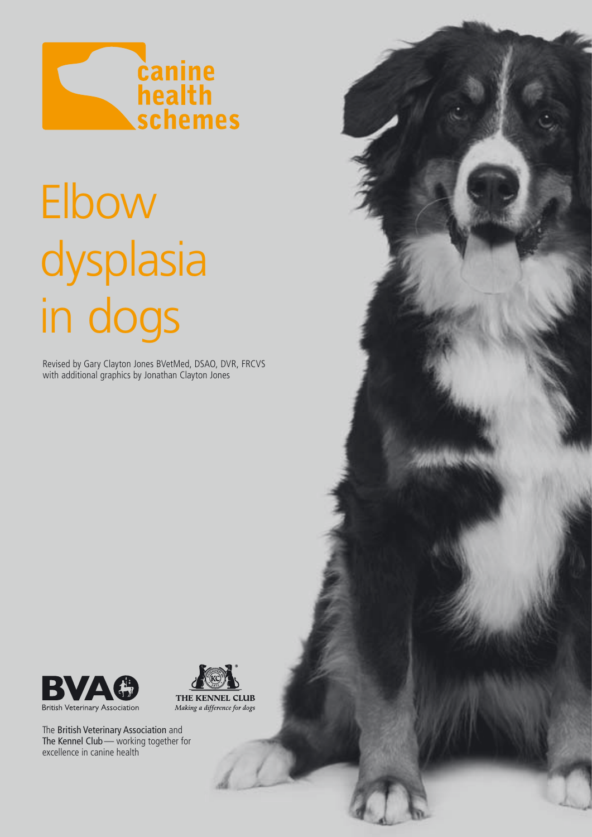

# Elbow dysplasia in dogs

Revised by Gary Clayton Jones BVetMed, DSAO, DVR, FRCVS with additional graphics by Jonathan Clayton Jones





The British Veterinary Association and The Kennel Club— working together for excellence in canine health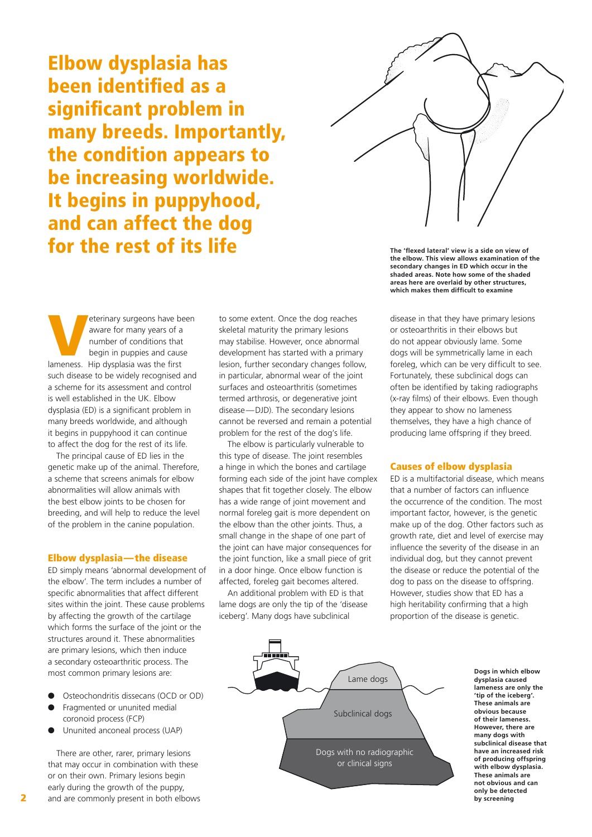Elbow dysplasia has been identified as a significant problem in many breeds. Importantly, the condition appears to be increasing worldwide. It begins in puppyhood, and can affect the dog for the rest of its life



**The 'flexed lateral' view is a side on view of the elbow. This view allows examination of the secondary changes in ED which occur in the shaded areas. Note how some of the shaded areas here are overlaid by other structures, which makes them difficult to examine**

Veterinary surgeons have been<br>
aware for many years of a<br>
number of conditions that<br>
begin in puppies and cause<br>
lameness. Hip dysplasia was the first aware for many years of a number of conditions that begin in puppies and cause such disease to be widely recognised and a scheme for its assessment and control is well established in the UK. Elbow dysplasia (ED) is a significant problem in many breeds worldwide, and although it begins in puppyhood it can continue to affect the dog for the rest of its life.

The principal cause of ED lies in the genetic make up of the animal. Therefore, a scheme that screens animals for elbow abnormalities will allow animals with the best elbow joints to be chosen for breeding, and will help to reduce the level of the problem in the canine population.

#### Elbow dysplasia—the disease

ED simply means 'abnormal development of the elbow'. The term includes a number of specific abnormalities that affect different sites within the joint. These cause problems by affecting the growth of the cartilage which forms the surface of the joint or the structures around it. These abnormalities are primary lesions, which then induce a secondary osteoarthritic process. The most common primary lesions are:

- Osteochondritis dissecans (OCD or OD)
- Fragmented or ununited medial coronoid process (FCP)
- Ununited anconeal process (UAP)

There are other, rarer, primary lesions that may occur in combination with these or on their own. Primary lesions begin early during the growth of the puppy, and are commonly present in both elbows to some extent. Once the dog reaches skeletal maturity the primary lesions may stabilise. However, once abnormal development has started with a primary lesion, further secondary changes follow, in particular, abnormal wear of the joint surfaces and osteoarthritis (sometimes termed arthrosis, or degenerative joint disease—DJD). The secondary lesions cannot be reversed and remain a potential problem for the rest of the dog's life.

The elbow is particularly vulnerable to this type of disease. The joint resembles a hinge in which the bones and cartilage forming each side of the joint have complex shapes that fit together closely. The elbow has a wide range of joint movement and normal foreleg gait is more dependent on the elbow than the other joints. Thus, a small change in the shape of one part of the joint can have major consequences for the joint function, like a small piece of grit in a door hinge. Once elbow function is affected, foreleg gait becomes altered.

An additional problem with ED is that lame dogs are only the tip of the 'disease iceberg'. Many dogs have subclinical

disease in that they have primary lesions or osteoarthritis in their elbows but do not appear obviously lame. Some dogs will be symmetrically lame in each foreleg, which can be very difficult to see. Fortunately, these subclinical dogs can often be identified by taking radiographs (x-ray films) of their elbows. Even though they appear to show no lameness themselves, they have a high chance of producing lame offspring if they breed.

### Causes of elbow dysplasia

ED is a multifactorial disease, which means that a number of factors can influence the occurrence of the condition. The most important factor, however, is the genetic make up of the dog. Other factors such as growth rate, diet and level of exercise may influence the severity of the disease in an individual dog, but they cannot prevent the disease or reduce the potential of the dog to pass on the disease to offspring. However, studies show that ED has a high heritability confirming that a high proportion of the disease is genetic.



**Dogs in which elbow dysplasia caused lameness are only the 'tip of the iceberg'. These animals are obvious because of their lameness. However, there are many dogs with subclinical disease that have an increased risk of producing offspring with elbow dysplasia. These animals are not obvious and can only be detected by screening**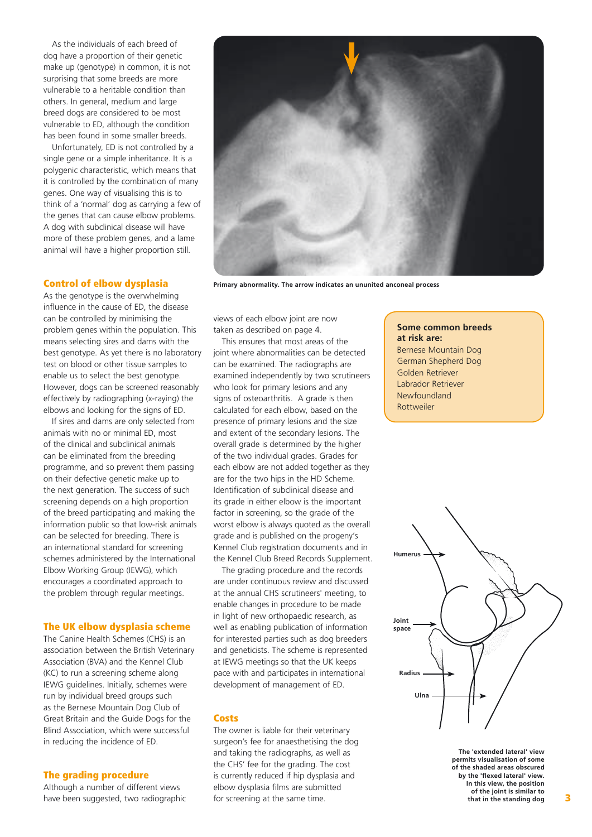As the individuals of each breed of dog have a proportion of their genetic make up (genotype) in common, it is not surprising that some breeds are more vulnerable to a heritable condition than others. In general, medium and large breed dogs are considered to be most vulnerable to ED, although the condition has been found in some smaller breeds.

Unfortunately, ED is not controlled by a single gene or a simple inheritance. It is a polygenic characteristic, which means that it is controlled by the combination of many genes. One way of visualising this is to think of a 'normal' dog as carrying a few of the genes that can cause elbow problems. A dog with subclinical disease will have more of these problem genes, and a lame animal will have a higher proportion still.

## Control of elbow dysplasia

As the genotype is the overwhelming influence in the cause of ED, the disease can be controlled by minimising the problem genes within the population. This means selecting sires and dams with the best genotype. As yet there is no laboratory test on blood or other tissue samples to enable us to select the best genotype. However, dogs can be screened reasonably effectively by radiographing (x-raying) the elbows and looking for the signs of ED.

If sires and dams are only selected from animals with no or minimal ED, most of the clinical and subclinical animals can be eliminated from the breeding programme, and so prevent them passing on their defective genetic make up to the next generation. The success of such screening depends on a high proportion of the breed participating and making the information public so that low-risk animals can be selected for breeding. There is an international standard for screening schemes administered by the International Elbow Working Group (IEWG), which encourages a coordinated approach to the problem through regular meetings.

#### The UK elbow dysplasia scheme

The Canine Health Schemes (CHS) is an association between the British Veterinary Association (BVA) and the Kennel Club (KC) to run a screening scheme along IEWG guidelines. Initially, schemes were run by individual breed groups such as the Bernese Mountain Dog Club of Great Britain and the Guide Dogs for the Blind Association, which were successful in reducing the incidence of ED.

#### The grading procedure

Although a number of different views have been suggested, two radiographic



**Primary abnormality. The arrow indicates an ununited anconeal process**

views of each elbow joint are now taken as described on page 4.

This ensures that most areas of the joint where abnormalities can be detected can be examined. The radiographs are examined independently by two scrutineers who look for primary lesions and any signs of osteoarthritis. A grade is then calculated for each elbow, based on the presence of primary lesions and the size and extent of the secondary lesions. The overall grade is determined by the higher of the two individual grades. Grades for each elbow are not added together as they are for the two hips in the HD Scheme. Identification of subclinical disease and its grade in either elbow is the important factor in screening, so the grade of the worst elbow is always quoted as the overall grade and is published on the progeny's Kennel Club registration documents and in the Kennel Club Breed Records Supplement.

The grading procedure and the records are under continuous review and discussed at the annual CHS scrutineers' meeting, to enable changes in procedure to be made in light of new orthopaedic research, as well as enabling publication of information for interested parties such as dog breeders and geneticists. The scheme is represented at IEWG meetings so that the UK keeps pace with and participates in international development of management of ED.

#### Costs

The owner is liable for their veterinary surgeon's fee for anaesthetising the dog and taking the radiographs, as well as the CHS' fee for the grading. The cost is currently reduced if hip dysplasia and elbow dysplasia films are submitted for screening at the same time.

**Some common breeds at risk are:** Bernese Mountain Dog German Shepherd Dog Golden Retriever Labrador Retriever Newfoundland Rottweiler



**The 'extended lateral' view permits visualisation of some of the shaded areas obscured by the 'flexed lateral' view. In this view, the position of the joint is similar to that in the standing dog**